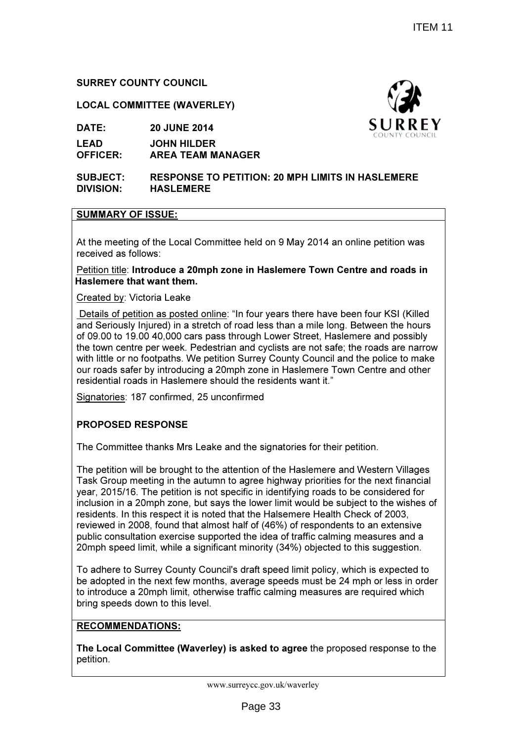## SURREY COUNTY COUNCIL

#### LOCAL COMMITTEE (WAVERLEY)

DATE: 20 JUNE 2014

LEAD OFFICER: JOHN HILDER AREA TEAM MANAGER

SUBJECT: RESPONSE TO PETITION: 20 MPH LIMITS IN HASLEMERE DIVISION: HASLEMERE

### SUMMARY OF ISSUE:

At the meeting of the Local Committee held on 9 May 2014 an online petition was received as follows:

Petition title: Introduce a 20mph zone in Haslemere Town Centre and roads in Haslemere that want them.

<u>Created by</u>: Victoria Leake

Details of petition as posted online: "In four years there have been four KSI (Killed and Seriously Injured) in a stretch of road less than a mile long. Between the hours of 09.00 to 19.00 40,000 cars pass through Lower Street, Haslemere and possibly the town centre per week. Pedestrian and cyclists are not safe; the roads are narrow with little or no footpaths. We petition Surrey County Council and the police to make our roads safer by introducing a 20mph zone in Haslemere Town Centre and other the town centre per week. Pedestrian and cyclists are not sat<br>with little or no footpaths. We petition Surrey County Council<br>our roads safer by introducing a 20mph zone in Haslemere T<br>residential roads in Haslemere should

Signatories: 187 confirmed, 25 unconfirmed

#### PROPOSED RESPONSE

The Committee thanks Mrs Leake and the signatories for their petition.

The petition will be brought to the attention of the Haslemere and Western Villages Task Group meeting in the autumn to agree highway priorities for the next financial year, 2015/16. The petition is not specific in identifying roads to be considered for inclusion in a 20mph zone, but says the lower limit would be subject to the wishes of residents. In this respect it is noted that the Halsemere Health Check of 2003, reviewed in 2008, found that almost half of (46%) of respondents to an extensive public consultation exercise supported the idea of traffic calming measures and a 20mph speed limit, while a significant minority (34%) objected to this suggestion. <u>natories</u>: 187 confirmed, 25 unconfirmed<br> **DPOSED RESPONSE**<br>
Committee thanks Mrs Leake and the signatories for their petition.<br>
petition will be brought to the attention of the Haslemere and Western Villages<br>
k Group mee idents. In this respect it is noted that the Halsemere Health Check of 2003,<br>iewed in 2008, found that almost half of (46%) of respondents to an extensive<br>plic consultation exercise supported the idea of traffic calming me online: "In four years there have been four KSI (Killed<br>retch of road less than a mile long. Between the hours<br>spass through Lower Street, Haslemere and possibly<br>edestrian and cyclists are not safe; the roads are narrow<br>pe

To adhere to Surrey County Council's draft speed limit policy, which is expected to be adopted in the next few months, average speeds must be 24 mph or less in order to introduce a 20mph limit, otherwise traffic calming measures are required which , bring speeds down to this level.

#### RECOMMENDATIONS:

The Local Committee (Waverley) is asked to agree the proposed response to the petition.